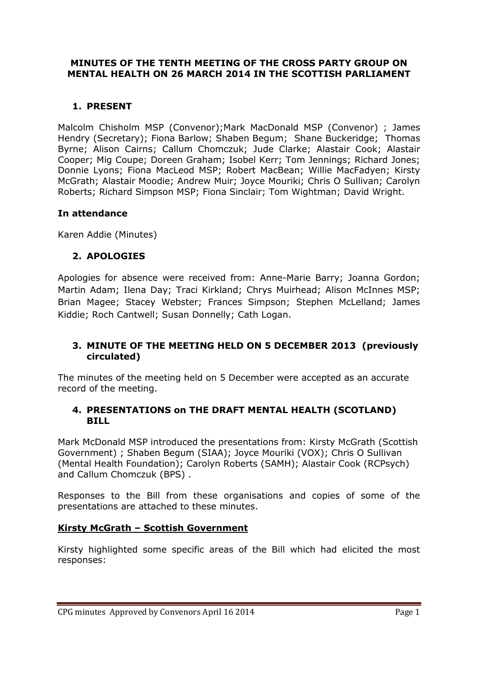### **MINUTES OF THE TENTH MEETING OF THE CROSS PARTY GROUP ON MENTAL HEALTH ON 26 MARCH 2014 IN THE SCOTTISH PARLIAMENT**

# **1. PRESENT**

Malcolm Chisholm MSP (Convenor);Mark MacDonald MSP (Convenor) ; James Hendry (Secretary); Fiona Barlow; Shaben Begum; Shane Buckeridge; Thomas Byrne; Alison Cairns; Callum Chomczuk; Jude Clarke; Alastair Cook; Alastair Cooper; Mig Coupe; Doreen Graham; Isobel Kerr; Tom Jennings; Richard Jones; Donnie Lyons; Fiona MacLeod MSP; Robert MacBean; Willie MacFadyen; Kirsty McGrath; Alastair Moodie; Andrew Muir; Joyce Mouriki; Chris O Sullivan; Carolyn Roberts; Richard Simpson MSP; Fiona Sinclair; Tom Wightman; David Wright.

### **In attendance**

Karen Addie (Minutes)

## **2. APOLOGIES**

Apologies for absence were received from: Anne-Marie Barry; Joanna Gordon; Martin Adam; Ilena Day; Traci Kirkland; Chrys Muirhead; Alison McInnes MSP; Brian Magee; Stacey Webster; Frances Simpson; Stephen McLelland; James Kiddie; Roch Cantwell; Susan Donnelly; Cath Logan.

### **3. MINUTE OF THE MEETING HELD ON 5 DECEMBER 2013 (previously circulated)**

The minutes of the meeting held on 5 December were accepted as an accurate record of the meeting.

#### **4. PRESENTATIONS on THE DRAFT MENTAL HEALTH (SCOTLAND) BILL**

Mark McDonald MSP introduced the presentations from: Kirsty McGrath (Scottish Government) ; Shaben Begum (SIAA); Joyce Mouriki (VOX); Chris O Sullivan (Mental Health Foundation); Carolyn Roberts (SAMH); Alastair Cook (RCPsych) and Callum Chomczuk (BPS) .

Responses to the Bill from these organisations and copies of some of the presentations are attached to these minutes.

#### **Kirsty McGrath – Scottish Government**

Kirsty highlighted some specific areas of the Bill which had elicited the most responses: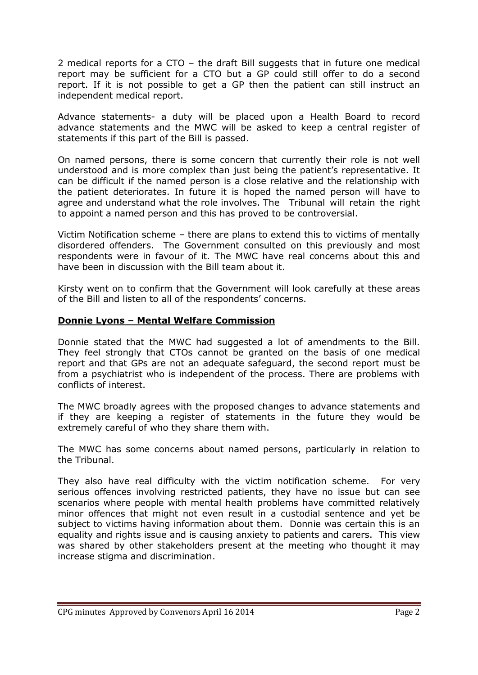2 medical reports for a CTO – the draft Bill suggests that in future one medical report may be sufficient for a CTO but a GP could still offer to do a second report. If it is not possible to get a GP then the patient can still instruct an independent medical report.

Advance statements- a duty will be placed upon a Health Board to record advance statements and the MWC will be asked to keep a central register of statements if this part of the Bill is passed.

On named persons, there is some concern that currently their role is not well understood and is more complex than just being the patient's representative. It can be difficult if the named person is a close relative and the relationship with the patient deteriorates. In future it is hoped the named person will have to agree and understand what the role involves. The Tribunal will retain the right to appoint a named person and this has proved to be controversial.

Victim Notification scheme – there are plans to extend this to victims of mentally disordered offenders. The Government consulted on this previously and most respondents were in favour of it. The MWC have real concerns about this and have been in discussion with the Bill team about it.

Kirsty went on to confirm that the Government will look carefully at these areas of the Bill and listen to all of the respondents' concerns.

#### **Donnie Lyons – Mental Welfare Commission**

Donnie stated that the MWC had suggested a lot of amendments to the Bill. They feel strongly that CTOs cannot be granted on the basis of one medical report and that GPs are not an adequate safeguard, the second report must be from a psychiatrist who is independent of the process. There are problems with conflicts of interest.

The MWC broadly agrees with the proposed changes to advance statements and if they are keeping a register of statements in the future they would be extremely careful of who they share them with.

The MWC has some concerns about named persons, particularly in relation to the Tribunal.

They also have real difficulty with the victim notification scheme. For very serious offences involving restricted patients, they have no issue but can see scenarios where people with mental health problems have committed relatively minor offences that might not even result in a custodial sentence and yet be subject to victims having information about them. Donnie was certain this is an equality and rights issue and is causing anxiety to patients and carers. This view was shared by other stakeholders present at the meeting who thought it may increase stigma and discrimination.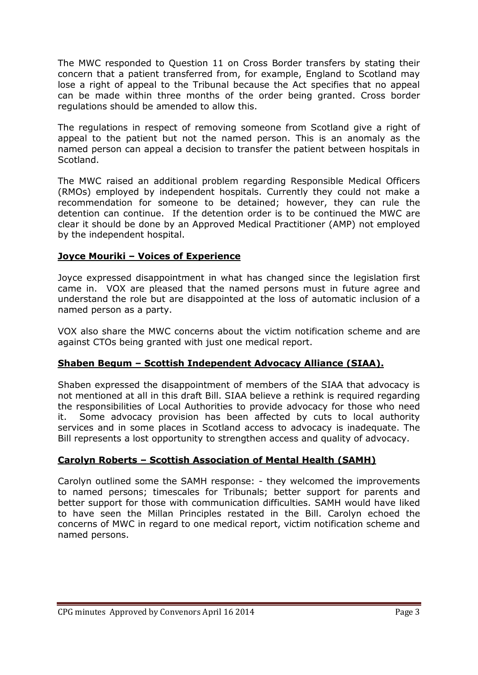The MWC responded to Question 11 on Cross Border transfers by stating their concern that a patient transferred from, for example, England to Scotland may lose a right of appeal to the Tribunal because the Act specifies that no appeal can be made within three months of the order being granted. Cross border regulations should be amended to allow this.

The regulations in respect of removing someone from Scotland give a right of appeal to the patient but not the named person. This is an anomaly as the named person can appeal a decision to transfer the patient between hospitals in Scotland.

The MWC raised an additional problem regarding Responsible Medical Officers (RMOs) employed by independent hospitals. Currently they could not make a recommendation for someone to be detained; however, they can rule the detention can continue. If the detention order is to be continued the MWC are clear it should be done by an Approved Medical Practitioner (AMP) not employed by the independent hospital.

## **Joyce Mouriki – Voices of Experience**

Joyce expressed disappointment in what has changed since the legislation first came in. VOX are pleased that the named persons must in future agree and understand the role but are disappointed at the loss of automatic inclusion of a named person as a party.

VOX also share the MWC concerns about the victim notification scheme and are against CTOs being granted with just one medical report.

## **Shaben Begum – Scottish Independent Advocacy Alliance (SIAA).**

Shaben expressed the disappointment of members of the SIAA that advocacy is not mentioned at all in this draft Bill. SIAA believe a rethink is required regarding the responsibilities of Local Authorities to provide advocacy for those who need it. Some advocacy provision has been affected by cuts to local authority services and in some places in Scotland access to advocacy is inadequate. The Bill represents a lost opportunity to strengthen access and quality of advocacy.

## **Carolyn Roberts – Scottish Association of Mental Health (SAMH)**

Carolyn outlined some the SAMH response: - they welcomed the improvements to named persons; timescales for Tribunals; better support for parents and better support for those with communication difficulties. SAMH would have liked to have seen the Millan Principles restated in the Bill. Carolyn echoed the concerns of MWC in regard to one medical report, victim notification scheme and named persons.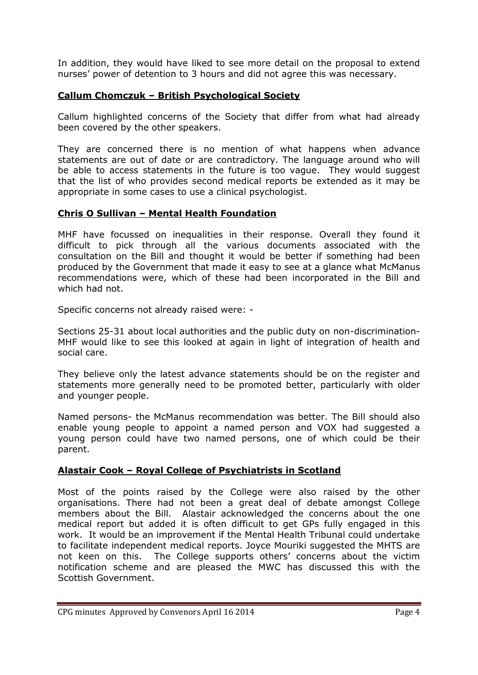In addition, they would have liked to see more detail on the proposal to extend nurses' power of detention to 3 hours and did not agree this was necessary.

#### **Callum Chomczuk – British Psychological Society**

Callum highlighted concerns of the Society that differ from what had already been covered by the other speakers.

They are concerned there is no mention of what happens when advance statements are out of date or are contradictory. The language around who will be able to access statements in the future is too vague. They would suggest that the list of who provides second medical reports be extended as it may be appropriate in some cases to use a clinical psychologist.

### **Chris O Sullivan – Mental Health Foundation**

MHF have focussed on inequalities in their response. Overall they found it difficult to pick through all the various documents associated with the consultation on the Bill and thought it would be better if something had been produced by the Government that made it easy to see at a glance what McManus recommendations were, which of these had been incorporated in the Bill and which had not.

Specific concerns not already raised were: -

Sections 25-31 about local authorities and the public duty on non-discrimination-MHF would like to see this looked at again in light of integration of health and social care.

They believe only the latest advance statements should be on the register and statements more generally need to be promoted better, particularly with older and younger people.

Named persons- the McManus recommendation was better. The Bill should also enable young people to appoint a named person and VOX had suggested a young person could have two named persons, one of which could be their parent.

## **Alastair Cook – Royal College of Psychiatrists in Scotland**

Most of the points raised by the College were also raised by the other organisations. There had not been a great deal of debate amongst College members about the Bill. Alastair acknowledged the concerns about the one medical report but added it is often difficult to get GPs fully engaged in this work. It would be an improvement if the Mental Health Tribunal could undertake to facilitate independent medical reports. Joyce Mouriki suggested the MHTS are not keen on this. The College supports others' concerns about the victim notification scheme and are pleased the MWC has discussed this with the Scottish Government.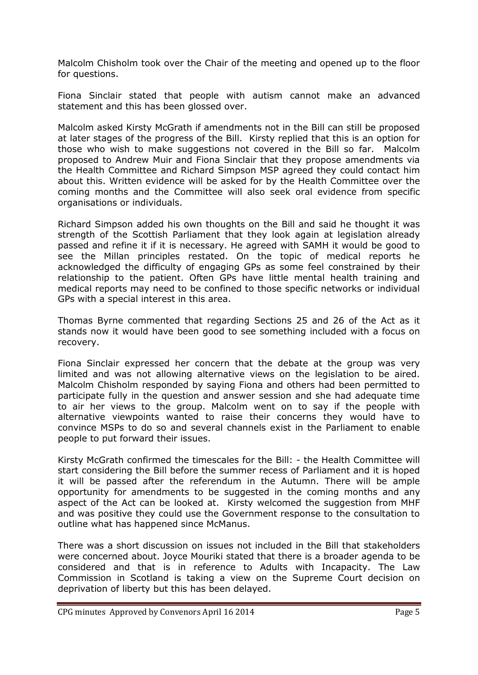Malcolm Chisholm took over the Chair of the meeting and opened up to the floor for questions.

Fiona Sinclair stated that people with autism cannot make an advanced statement and this has been glossed over.

Malcolm asked Kirsty McGrath if amendments not in the Bill can still be proposed at later stages of the progress of the Bill. Kirsty replied that this is an option for those who wish to make suggestions not covered in the Bill so far. Malcolm proposed to Andrew Muir and Fiona Sinclair that they propose amendments via the Health Committee and Richard Simpson MSP agreed they could contact him about this. Written evidence will be asked for by the Health Committee over the coming months and the Committee will also seek oral evidence from specific organisations or individuals.

Richard Simpson added his own thoughts on the Bill and said he thought it was strength of the Scottish Parliament that they look again at legislation already passed and refine it if it is necessary. He agreed with SAMH it would be good to see the Millan principles restated. On the topic of medical reports he acknowledged the difficulty of engaging GPs as some feel constrained by their relationship to the patient. Often GPs have little mental health training and medical reports may need to be confined to those specific networks or individual GPs with a special interest in this area.

Thomas Byrne commented that regarding Sections 25 and 26 of the Act as it stands now it would have been good to see something included with a focus on recovery.

Fiona Sinclair expressed her concern that the debate at the group was very limited and was not allowing alternative views on the legislation to be aired. Malcolm Chisholm responded by saying Fiona and others had been permitted to participate fully in the question and answer session and she had adequate time to air her views to the group. Malcolm went on to say if the people with alternative viewpoints wanted to raise their concerns they would have to convince MSPs to do so and several channels exist in the Parliament to enable people to put forward their issues.

Kirsty McGrath confirmed the timescales for the Bill: - the Health Committee will start considering the Bill before the summer recess of Parliament and it is hoped it will be passed after the referendum in the Autumn. There will be ample opportunity for amendments to be suggested in the coming months and any aspect of the Act can be looked at. Kirsty welcomed the suggestion from MHF and was positive they could use the Government response to the consultation to outline what has happened since McManus.

There was a short discussion on issues not included in the Bill that stakeholders were concerned about. Joyce Mouriki stated that there is a broader agenda to be considered and that is in reference to Adults with Incapacity. The Law Commission in Scotland is taking a view on the Supreme Court decision on deprivation of liberty but this has been delayed.